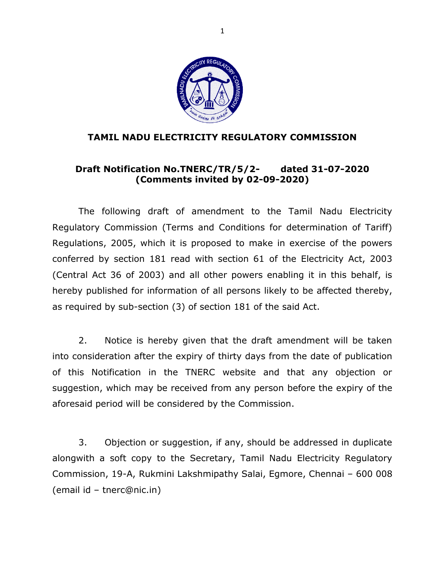

#### **TAMIL NADU ELECTRICITY REGULATORY COMMISSION**

#### **Draft Notification No.TNERC/TR/5/2- dated 31-07-2020 (Comments invited by 02-09-2020)**

The following draft of amendment to the Tamil Nadu Electricity Regulatory Commission (Terms and Conditions for determination of Tariff) Regulations, 2005, which it is proposed to make in exercise of the powers conferred by section 181 read with section 61 of the Electricity Act, 2003 (Central Act 36 of 2003) and all other powers enabling it in this behalf, is hereby published for information of all persons likely to be affected thereby, as required by sub-section (3) of section 181 of the said Act.

2. Notice is hereby given that the draft amendment will be taken into consideration after the expiry of thirty days from the date of publication of this Notification in the TNERC website and that any objection or suggestion, which may be received from any person before the expiry of the aforesaid period will be considered by the Commission.

3. Objection or suggestion, if any, should be addressed in duplicate alongwith a soft copy to the Secretary, Tamil Nadu Electricity Regulatory Commission, 19-A, Rukmini Lakshmipathy Salai, Egmore, Chennai – 600 008 (email id – tnerc@nic.in)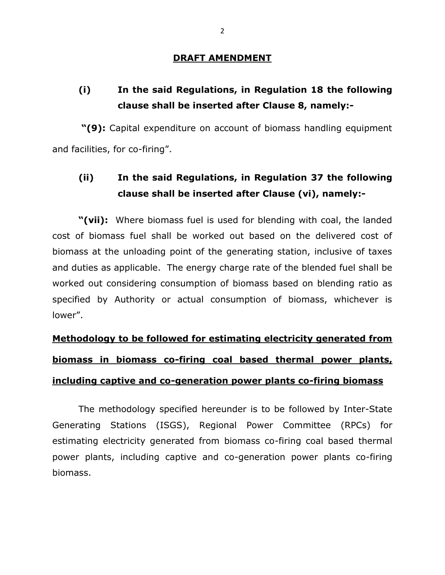#### **DRAFT AMENDMENT**

# **(i) In the said Regulations, in Regulation 18 the following clause shall be inserted after Clause 8, namely:-**

**"(9):** Capital expenditure on account of biomass handling equipment and facilities, for co-firing".

## **(ii) In the said Regulations, in Regulation 37 the following clause shall be inserted after Clause (vi), namely:-**

**"(vii):** Where biomass fuel is used for blending with coal, the landed cost of biomass fuel shall be worked out based on the delivered cost of biomass at the unloading point of the generating station, inclusive of taxes and duties as applicable. The energy charge rate of the blended fuel shall be worked out considering consumption of biomass based on blending ratio as specified by Authority or actual consumption of biomass, whichever is lower".

# **Methodology to be followed for estimating electricity generated from biomass in biomass co-firing coal based thermal power plants, including captive and co-generation power plants co-firing biomass**

The methodology specified hereunder is to be followed by Inter-State Generating Stations (ISGS), Regional Power Committee (RPCs) for estimating electricity generated from biomass co-firing coal based thermal power plants, including captive and co-generation power plants co-firing biomass.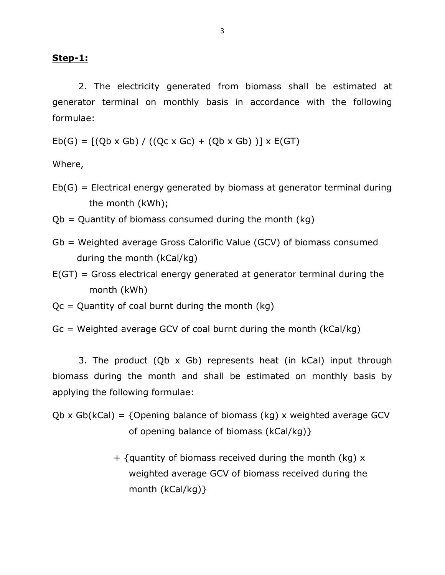#### **Step-1:**

2. The electricity generated from biomass shall be estimated at generator terminal on monthly basis in accordance with the following formulae:

 $Eb(G) = [(Qb \times Gb) / ((Qc \times Gc) + (Qb \times Gb))] \times E(GT)$ 

Where,

- $Eb(G)$  = Electrical energy generated by biomass at generator terminal during the month (kWh);
- $Qb =$  Quantity of biomass consumed during the month (kg)
- Gb = Weighted average Gross Calorific Value (GCV) of biomass consumed during the month (kCal/kg)
- E(GT) = Gross electrical energy generated at generator terminal during the month (kWh)

 $Qc =$  Quantity of coal burnt during the month (kg)

 $Gc$  = Weighted average GCV of coal burnt during the month (kCal/kg)

3. The product (Qb x Gb) represents heat (in kCal) input through biomass during the month and shall be estimated on monthly basis by applying the following formulae:

Qb x Gb(kCal) =  $\{$ Opening balance of biomass (kg) x weighted average GCV of opening balance of biomass (kCal/kg)}

> $+$  {quantity of biomass received during the month (kg)  $x$  weighted average GCV of biomass received during the month (kCal/kg)}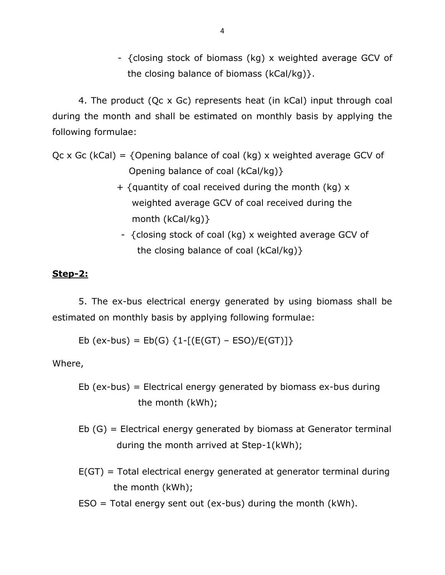- {closing stock of biomass (kg) x weighted average GCV of the closing balance of biomass (kCal/kg)}.

4. The product (Qc x Gc) represents heat (in kCal) input through coal during the month and shall be estimated on monthly basis by applying the following formulae:

Qc x Gc (kCal) = {Opening balance of coal (kg) x weighted average GCV of Opening balance of coal (kCal/kg)}

- $+$  {quantity of coal received during the month (kg)  $x$  weighted average GCV of coal received during the month (kCal/kg)}
- {closing stock of coal (kg) x weighted average GCV of the closing balance of coal (kCal/kg)}

#### **Step-2:**

5. The ex-bus electrical energy generated by using biomass shall be estimated on monthly basis by applying following formulae:

Eb (ex-bus) =  $Eb(G)$  {1- $[(E(GT) - ESO)/E(GT)]$ }

Where,

```
Eb (ex-bus) = Electrical energy generated by biomass ex-bus during 
  the month (kWh);
```
- Eb (G) = Electrical energy generated by biomass at Generator terminal during the month arrived at Step-1(kWh);
- E(GT) = Total electrical energy generated at generator terminal during the month (kWh);
- $ESO = Total energy sent out (ex-bus) during the month (kWh).$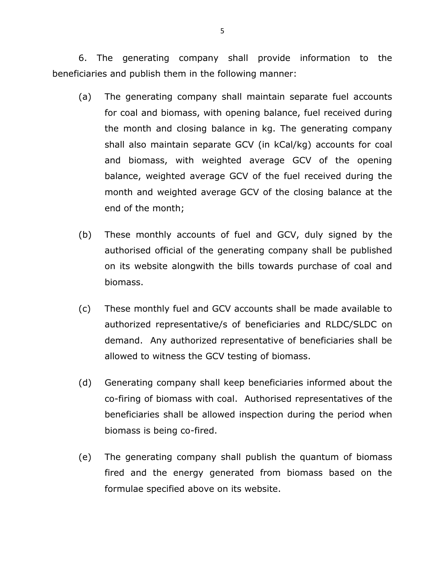6. The generating company shall provide information to the beneficiaries and publish them in the following manner:

- (a) The generating company shall maintain separate fuel accounts for coal and biomass, with opening balance, fuel received during the month and closing balance in kg. The generating company shall also maintain separate GCV (in kCal/kg) accounts for coal and biomass, with weighted average GCV of the opening balance, weighted average GCV of the fuel received during the month and weighted average GCV of the closing balance at the end of the month;
- (b) These monthly accounts of fuel and GCV, duly signed by the authorised official of the generating company shall be published on its website alongwith the bills towards purchase of coal and biomass.
- (c) These monthly fuel and GCV accounts shall be made available to authorized representative/s of beneficiaries and RLDC/SLDC on demand. Any authorized representative of beneficiaries shall be allowed to witness the GCV testing of biomass.
- (d) Generating company shall keep beneficiaries informed about the co-firing of biomass with coal. Authorised representatives of the beneficiaries shall be allowed inspection during the period when biomass is being co-fired.
- (e) The generating company shall publish the quantum of biomass fired and the energy generated from biomass based on the formulae specified above on its website.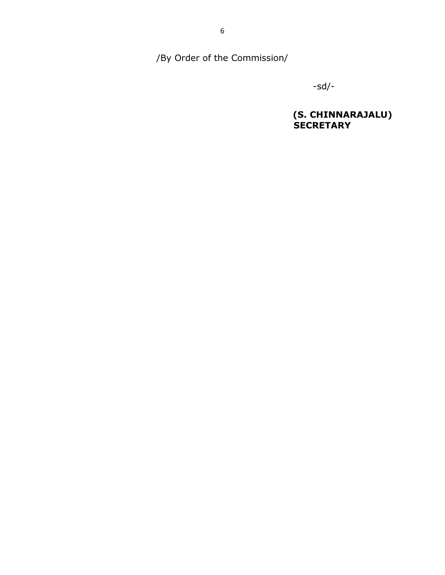/By Order of the Commission/

-sd/-

**(S. CHINNARAJALU) SECRETARY** SECRETARY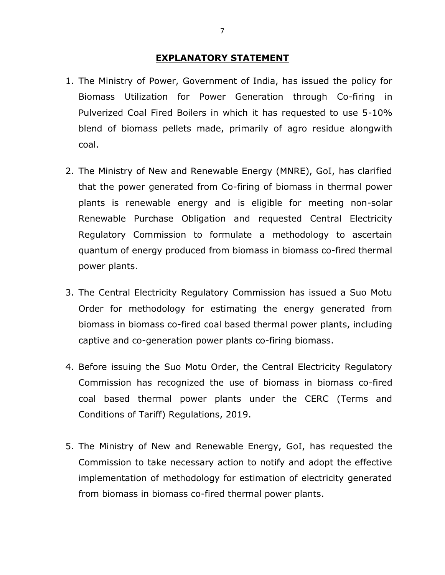#### **EXPLANATORY STATEMENT**

- 1. The Ministry of Power, Government of India, has issued the policy for Biomass Utilization for Power Generation through Co-firing in Pulverized Coal Fired Boilers in which it has requested to use 5-10% blend of biomass pellets made, primarily of agro residue alongwith coal.
- 2. The Ministry of New and Renewable Energy (MNRE), GoI, has clarified that the power generated from Co-firing of biomass in thermal power plants is renewable energy and is eligible for meeting non-solar Renewable Purchase Obligation and requested Central Electricity Regulatory Commission to formulate a methodology to ascertain quantum of energy produced from biomass in biomass co-fired thermal power plants.
- 3. The Central Electricity Regulatory Commission has issued a Suo Motu Order for methodology for estimating the energy generated from biomass in biomass co-fired coal based thermal power plants, including captive and co-generation power plants co-firing biomass.
- 4. Before issuing the Suo Motu Order, the Central Electricity Regulatory Commission has recognized the use of biomass in biomass co-fired coal based thermal power plants under the CERC (Terms and Conditions of Tariff) Regulations, 2019.
- 5. The Ministry of New and Renewable Energy, GoI, has requested the Commission to take necessary action to notify and adopt the effective implementation of methodology for estimation of electricity generated from biomass in biomass co-fired thermal power plants.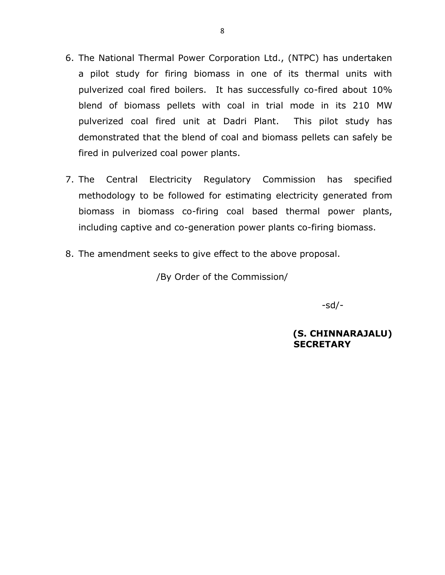- 6. The National Thermal Power Corporation Ltd., (NTPC) has undertaken a pilot study for firing biomass in one of its thermal units with pulverized coal fired boilers. It has successfully co-fired about 10% blend of biomass pellets with coal in trial mode in its 210 MW pulverized coal fired unit at Dadri Plant. This pilot study has demonstrated that the blend of coal and biomass pellets can safely be fired in pulverized coal power plants.
- 7. The Central Electricity Regulatory Commission has specified methodology to be followed for estimating electricity generated from biomass in biomass co-firing coal based thermal power plants, including captive and co-generation power plants co-firing biomass.
- 8. The amendment seeks to give effect to the above proposal.

/By Order of the Commission/

-sd/-

**(S. CHINNARAJALU) SECRETARY**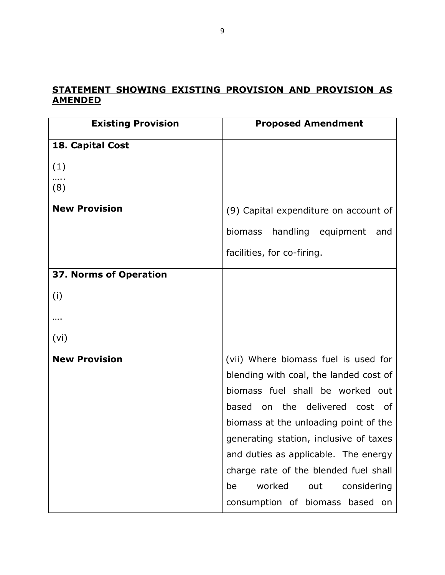## **STATEMENT SHOWING EXISTING PROVISION AND PROVISION AS AMENDED**

| <b>Existing Provision</b> | <b>Proposed Amendment</b>              |
|---------------------------|----------------------------------------|
| 18. Capital Cost          |                                        |
| (1)                       |                                        |
| (8)                       |                                        |
| <b>New Provision</b>      | (9) Capital expenditure on account of  |
|                           | biomass handling equipment<br>and      |
|                           | facilities, for co-firing.             |
| 37. Norms of Operation    |                                        |
| (i)                       |                                        |
|                           |                                        |
| (vi)                      |                                        |
| <b>New Provision</b>      | (vii) Where biomass fuel is used for   |
|                           | blending with coal, the landed cost of |
|                           | biomass fuel shall be worked out       |
|                           | based on the delivered cost of         |
|                           | biomass at the unloading point of the  |
|                           | generating station, inclusive of taxes |
|                           | and duties as applicable. The energy   |
|                           | charge rate of the blended fuel shall  |
|                           | worked<br>out<br>considering<br>be     |
|                           | consumption of biomass based on        |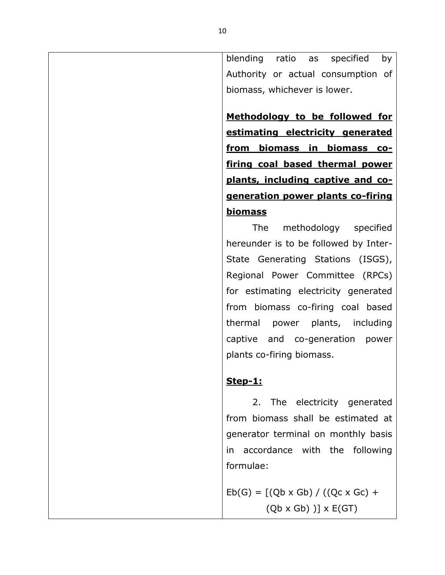blending ratio as specified by Authority or actual consumption of biomass, whichever is lower.

**Methodology to be followed for estimating electricity generated from biomass in biomass cofiring coal based thermal power plants, including captive and cogeneration power plants co-firing biomass**

The methodology specified hereunder is to be followed by Inter-State Generating Stations (ISGS), Regional Power Committee (RPCs) for estimating electricity generated from biomass co-firing coal based thermal power plants, including captive and co-generation power plants co-firing biomass.

## **Step-1:**

2. The electricity generated from biomass shall be estimated at generator terminal on monthly basis in accordance with the following formulae:

 $Eb(G) = [(Qb \times Gb) / ((Qc \times Gc) +$  $(Qb \times Gb)$  )]  $\times$  E(GT)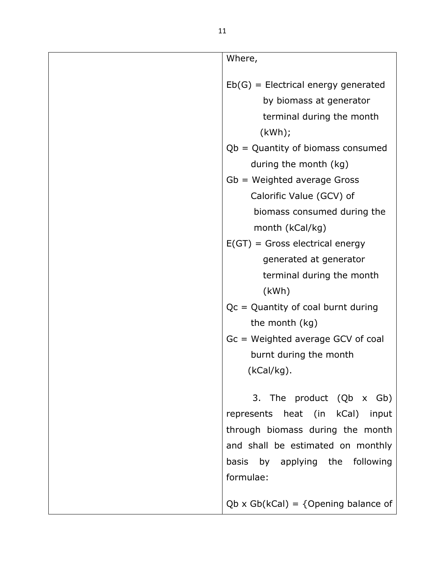| Where,                                                                 |
|------------------------------------------------------------------------|
|                                                                        |
| $Eb(G)$ = Electrical energy generated                                  |
| by biomass at generator                                                |
| terminal during the month                                              |
| (kWh);                                                                 |
| $Qb =$ Quantity of biomass consumed                                    |
| during the month (kg)                                                  |
| $Gb = Weighted average Gross$                                          |
| Calorific Value (GCV) of                                               |
| biomass consumed during the                                            |
| month (kCal/kg)                                                        |
| $E(GT)$ = Gross electrical energy                                      |
| generated at generator                                                 |
| terminal during the month                                              |
| (kWh)                                                                  |
| $Qc =$ Quantity of coal burnt during                                   |
| the month (kg)                                                         |
| Gc = Weighted average GCV of coal                                      |
| burnt during the month                                                 |
| $(kCal/kg)$ .                                                          |
| 3. The product (Qb x Gb)                                               |
|                                                                        |
| represents heat (in kCal)<br>input<br>through biomass during the month |
| and shall be estimated on monthly                                      |
|                                                                        |
| basis by applying the following<br>formulae:                           |
|                                                                        |
| $Qb \times Gb(kCal) = \{Opening balance of$                            |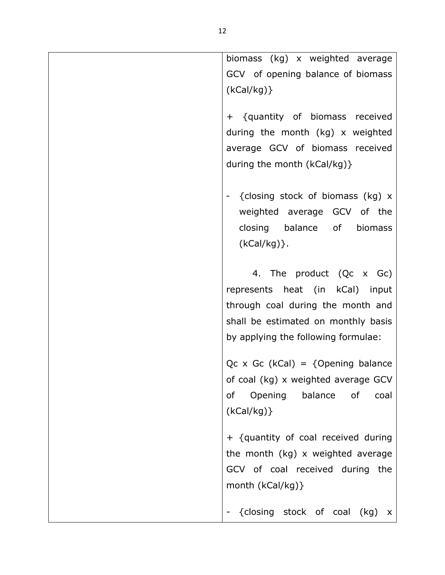| biomass (kg) x weighted average                |
|------------------------------------------------|
| GCV of opening balance of biomass              |
| (kCal/kg)                                      |
|                                                |
| + {quantity of biomass received                |
| during the month (kg) x weighted               |
| average GCV of biomass received                |
|                                                |
| during the month (kCal/kg)}                    |
|                                                |
| {closing stock of biomass (kg) x               |
| weighted average GCV of the                    |
| closing balance of<br>biomass                  |
|                                                |
| $(kCal/kg)$ .                                  |
|                                                |
| 4. The product (Qc x Gc)                       |
| represents heat (in kCal) input                |
| through coal during the month and              |
| shall be estimated on monthly basis            |
|                                                |
| by applying the following formulae:            |
| $Qc \times Gc$ (kCal) = {Opening balance       |
|                                                |
| of coal (kg) x weighted average GCV            |
| Opening balance<br>οf<br>of<br>coal            |
| (kCal/kg)                                      |
|                                                |
| + {quantity of coal received during            |
| the month (kg) x weighted average              |
| GCV of coal received during the                |
| month (kCal/kg) }                              |
|                                                |
| {closing stock of coal<br>(kg)<br>$\mathsf{X}$ |
|                                                |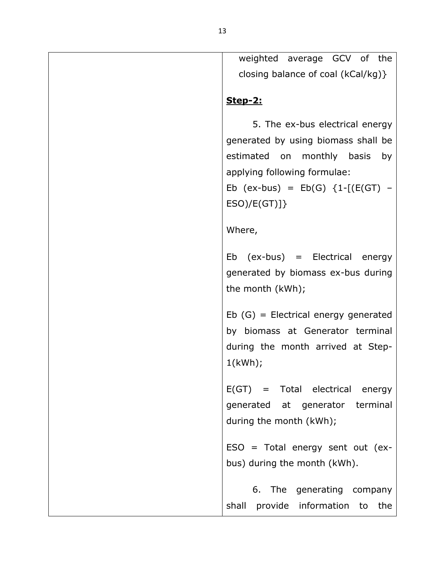weighted average GCV of the closing balance of coal (kCal/kg)}

## **Step-2:**

5. The ex-bus electrical energy generated by using biomass shall be estimated on monthly basis by applying following formulae: Eb  $(ex-bus) = Eb(G) \{1-[E(GT) - E(s)]\}$  $ESO)/E(GT)]$ Where, Eb (ex-bus) = Electrical energy generated by biomass ex-bus during the month (kWh); Eb (G) = Electrical energy generated by biomass at Generator terminal during the month arrived at Step-1(kWh); E(GT) = Total electrical energy

generated at generator terminal during the month (kWh);

 $ESO = Total energy sent out (ex$ bus) during the month (kWh).

6. The generating company shall provide information to the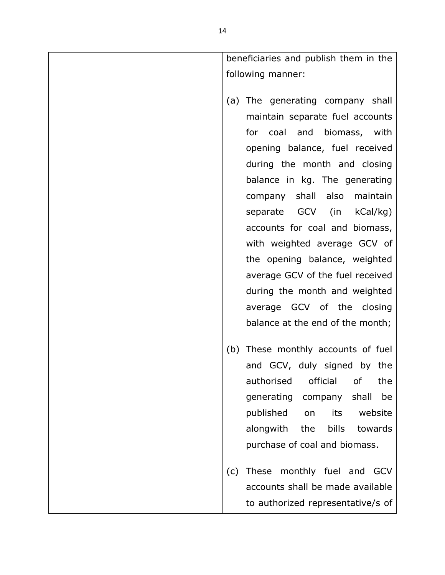| beneficiaries and publish them in the                                                                                                                                                                |
|------------------------------------------------------------------------------------------------------------------------------------------------------------------------------------------------------|
| following manner:                                                                                                                                                                                    |
| (a) The generating company shall<br>maintain separate fuel accounts<br>for coal and biomass, with<br>opening balance, fuel received<br>during the month and closing<br>balance in kg. The generating |
| company shall also maintain                                                                                                                                                                          |
| separate GCV (in kCal/kg)                                                                                                                                                                            |
| accounts for coal and biomass,                                                                                                                                                                       |
| with weighted average GCV of                                                                                                                                                                         |
| the opening balance, weighted                                                                                                                                                                        |
| average GCV of the fuel received                                                                                                                                                                     |
| during the month and weighted                                                                                                                                                                        |
| average GCV of the closing                                                                                                                                                                           |
| balance at the end of the month;                                                                                                                                                                     |
| (b) These monthly accounts of fuel                                                                                                                                                                   |
| and GCV, duly signed by the                                                                                                                                                                          |
| authorised<br>official<br>of<br>the                                                                                                                                                                  |
| shall<br>be<br>generating<br>company                                                                                                                                                                 |
| published<br>website<br>its<br>on                                                                                                                                                                    |
| the<br>bills<br>alongwith<br>towards                                                                                                                                                                 |
| purchase of coal and biomass.                                                                                                                                                                        |
| These monthly fuel and<br>(c)<br><b>GCV</b>                                                                                                                                                          |
| accounts shall be made available                                                                                                                                                                     |
| to authorized representative/s of                                                                                                                                                                    |
|                                                                                                                                                                                                      |